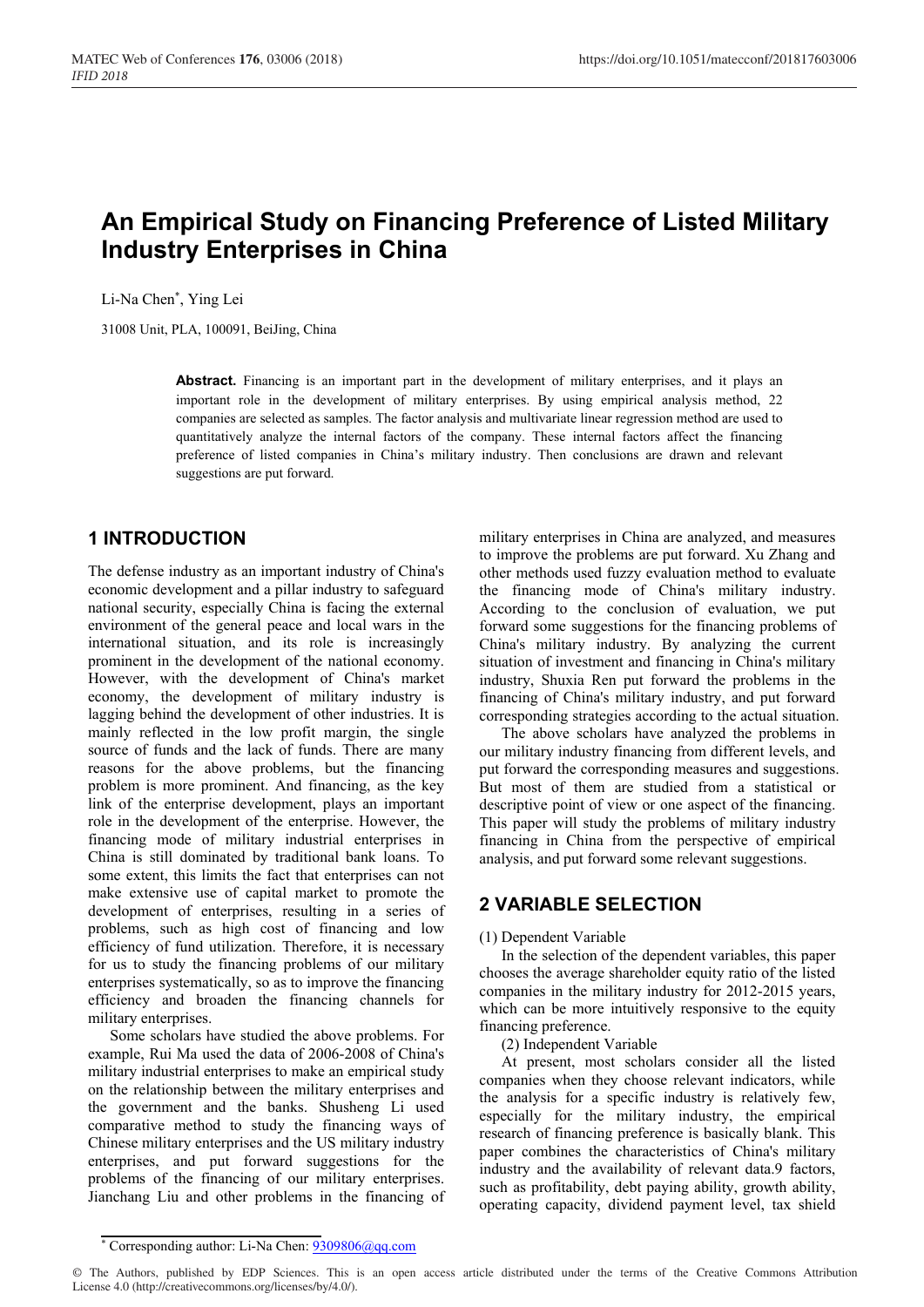# **An Empirical Study on Financing Preference of Listed Military Industry Enterprises in China**

Li-Na Chen\* , Ying Lei

31008 Unit, PLA, 100091, BeiJing, China

**Abstract.** Financing is an important part in the development of military enterprises, and it plays an important role in the development of military enterprises. By using empirical analysis method, 22 companies are selected as samples. The factor analysis and multivariate linear regression method are used to quantitatively analyze the internal factors of the company. These internal factors affect the financing preference of listed companies in China's military industry. Then conclusions are drawn and relevant suggestions are put forward.

## **1 INTRODUCTION**

The defense industry as an important industry of China's economic development and a pillar industry to safeguard national security, especially China is facing the external environment of the general peace and local wars in the international situation, and its role is increasingly prominent in the development of the national economy. However, with the development of China's market economy, the development of military industry is lagging behind the development of other industries. It is mainly reflected in the low profit margin, the single source of funds and the lack of funds. There are many reasons for the above problems, but the financing problem is more prominent. And financing, as the key link of the enterprise development, plays an important role in the development of the enterprise. However, the financing mode of military industrial enterprises in China is still dominated by traditional bank loans. To some extent, this limits the fact that enterprises can not make extensive use of capital market to promote the development of enterprises, resulting in a series of problems, such as high cost of financing and low efficiency of fund utilization. Therefore, it is necessary for us to study the financing problems of our military enterprises systematically, so as to improve the financing efficiency and broaden the financing channels for military enterprises.

Some scholars have studied the above problems. For example, Rui Ma used the data of 2006-2008 of China's military industrial enterprises to make an empirical study on the relationship between the military enterprises and the government and the banks. Shusheng Li used comparative method to study the financing ways of Chinese military enterprises and the US military industry enterprises, and put forward suggestions for the problems of the financing of our military enterprises. Jianchang Liu and other problems in the financing of military enterprises in China are analyzed, and measures to improve the problems are put forward. Xu Zhang and other methods used fuzzy evaluation method to evaluate the financing mode of China's military industry. According to the conclusion of evaluation, we put forward some suggestions for the financing problems of China's military industry. By analyzing the current situation of investment and financing in China's military industry, Shuxia Ren put forward the problems in the financing of China's military industry, and put forward corresponding strategies according to the actual situation.

The above scholars have analyzed the problems in our military industry financing from different levels, and put forward the corresponding measures and suggestions. But most of them are studied from a statistical or descriptive point of view or one aspect of the financing. This paper will study the problems of military industry financing in China from the perspective of empirical analysis, and put forward some relevant suggestions.

# **2 VARIABLE SELECTION**

#### (1) Dependent Variable

In the selection of the dependent variables, this paper chooses the average shareholder equity ratio of the listed companies in the military industry for 2012-2015 years, which can be more intuitively responsive to the equity financing preference.

(2) Independent Variable

At present, most scholars consider all the listed companies when they choose relevant indicators, while the analysis for a specific industry is relatively few, especially for the military industry, the empirical research of financing preference is basically blank. This paper combines the characteristics of China's military industry and the availability of relevant data.9 factors, such as profitability, debt paying ability, growth ability, operating capacity, dividend payment level, tax shield

© The Authors, published by EDP Sciences. This is an open access article distributed under the terms of the Creative Commons Attribution License 4.0 (http://creativecommons.org/licenses/by/4.0/).

<sup>\*</sup> Corresponding author: Li-Na Chen: 9309806@qq.com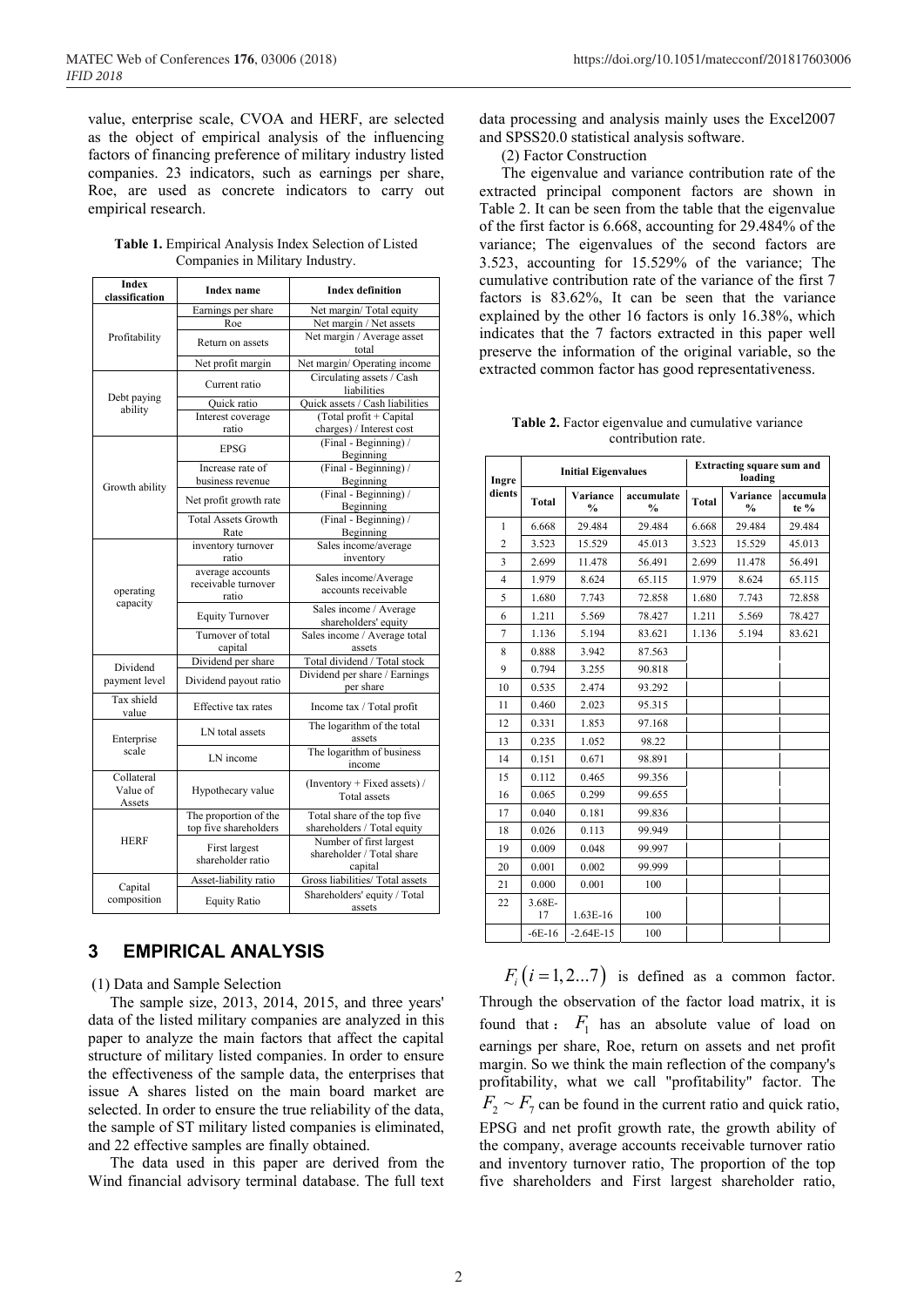value, enterprise scale, CVOA and HERF, are selected as the object of empirical analysis of the influencing factors of financing preference of military industry listed companies. 23 indicators, such as earnings per share, Roe, are used as concrete indicators to carry out empirical research.

| Table 1. Empirical Analysis Index Selection of Listed |  |
|-------------------------------------------------------|--|
| Companies in Military Industry.                       |  |

| Index<br>classification                               | <b>Index</b> name                                | <b>Index definition</b>                                         |  |  |
|-------------------------------------------------------|--------------------------------------------------|-----------------------------------------------------------------|--|--|
|                                                       | Earnings per share                               | Net margin/ Total equity                                        |  |  |
|                                                       | Roe                                              | Net margin / Net assets                                         |  |  |
| Profitability                                         | Return on assets                                 | Net margin / Average asset<br>total                             |  |  |
|                                                       | Net profit margin                                | Net margin/ Operating income                                    |  |  |
|                                                       | Current ratio                                    | Circulating assets / Cash<br>liabilities                        |  |  |
| Debt paying                                           | Quick ratio                                      | Quick assets / Cash liabilities                                 |  |  |
| ability                                               | Interest coverage<br>ratio                       | (Total profit + Capital<br>charges) / Interest cost             |  |  |
|                                                       | <b>EPSG</b>                                      | (Final - Beginning) /<br>Beginning                              |  |  |
|                                                       | Increase rate of<br>business revenue             | (Final - Beginning) /<br>Beginning                              |  |  |
| Growth ability                                        | Net profit growth rate                           | (Final - Beginning) /<br>Beginning                              |  |  |
|                                                       | <b>Total Assets Growth</b><br>Rate               | (Final - Beginning) /<br>Beginning                              |  |  |
| operating<br>capacity                                 | inventory turnover<br>ratio                      | Sales income/average<br>inventory                               |  |  |
|                                                       | average accounts<br>receivable turnover<br>ratio | Sales income/Average<br>accounts receivable                     |  |  |
|                                                       | <b>Equity Turnover</b>                           | Sales income / Average<br>shareholders' equity                  |  |  |
|                                                       | Turnover of total<br>capital                     | Sales income / Average total<br>assets                          |  |  |
| Dividend                                              | Dividend per share                               | Total dividend / Total stock                                    |  |  |
| payment level                                         | Dividend payout ratio                            | Dividend per share / Earnings<br>per share                      |  |  |
| Tax shield<br>value                                   | Effective tax rates                              | Income tax / Total profit                                       |  |  |
| Enterprise                                            | LN total assets                                  | The logarithm of the total<br>assets                            |  |  |
| scale                                                 | LN income                                        | The logarithm of business<br>income                             |  |  |
| Collateral<br>Hypothecary value<br>Value of<br>Assets |                                                  | (Inventory + Fixed assets) /<br>Total assets                    |  |  |
| <b>HERF</b>                                           | The proportion of the<br>top five shareholders   | Total share of the top five<br>shareholders / Total equity      |  |  |
|                                                       | First largest<br>shareholder ratio               | Number of first largest<br>shareholder / Total share<br>capital |  |  |
|                                                       | Asset-liability ratio                            | Gross liabilities/ Total assets                                 |  |  |
| Capital<br>composition                                | <b>Equity Ratio</b>                              | Shareholders' equity / Total<br>assets                          |  |  |

### **3 EMPIRICAL ANALYSIS**

(1) Data and Sample Selection

The sample size, 2013, 2014, 2015, and three years' data of the listed military companies are analyzed in this paper to analyze the main factors that affect the capital structure of military listed companies. In order to ensure the effectiveness of the sample data, the enterprises that issue A shares listed on the main board market are selected. In order to ensure the true reliability of the data, the sample of ST military listed companies is eliminated, and 22 effective samples are finally obtained.

The data used in this paper are derived from the Wind financial advisory terminal database. The full text data processing and analysis mainly uses the Excel2007 and SPSS20.0 statistical analysis software.

(2) Factor Construction

The eigenvalue and variance contribution rate of the extracted principal component factors are shown in Table 2. It can be seen from the table that the eigenvalue of the first factor is 6.668, accounting for 29.484% of the variance; The eigenvalues of the second factors are 3.523, accounting for 15.529% of the variance; The cumulative contribution rate of the variance of the first 7 factors is 83.62%, It can be seen that the variance explained by the other 16 factors is only 16.38%, which indicates that the 7 factors extracted in this paper well preserve the information of the original variable, so the extracted common factor has good representativeness.

| <b>Table 2.</b> Factor eigenvalue and cumulative variance |
|-----------------------------------------------------------|
| contribution rate.                                        |

| Ingre          | <b>Initial Eigenvalues</b> |                           |                             | <b>Extracting square sum and</b><br>loading |                           |                  |  |
|----------------|----------------------------|---------------------------|-----------------------------|---------------------------------------------|---------------------------|------------------|--|
| dients         | <b>Total</b>               | Variance<br>$\frac{0}{0}$ | accumulate<br>$\frac{0}{0}$ | <b>Total</b>                                | Variance<br>$\frac{0}{0}$ | accumula<br>te % |  |
| 1              | 6.668                      | 29.484                    | 29.484                      | 6.668                                       | 29.484                    | 29.484           |  |
| $\overline{c}$ | 3.523                      | 15.529                    | 45.013                      | 3.523                                       | 15.529                    | 45.013           |  |
| 3              | 2.699                      | 11.478                    | 56.491                      | 2.699                                       | 11.478                    | 56.491           |  |
| $\overline{4}$ | 1.979                      | 8.624                     | 65.115                      | 1.979                                       | 8.624                     | 65.115           |  |
| 5              | 1.680                      | 7.743                     | 72.858                      | 1.680                                       | 7.743                     | 72.858           |  |
| 6              | 1.211                      | 5.569                     | 78.427                      | 1.211                                       | 5.569                     | 78.427           |  |
| 7              | 1.136                      | 5.194                     | 83.621                      | 1.136                                       | 5.194                     | 83.621           |  |
| 8              | 0.888                      | 3.942                     | 87.563                      |                                             |                           |                  |  |
| 9              | 0.794                      | 3.255                     | 90.818                      |                                             |                           |                  |  |
| 10             | 0.535                      | 2.474                     | 93.292                      |                                             |                           |                  |  |
| 11             | 0.460                      | 2.023                     | 95.315                      |                                             |                           |                  |  |
| 12             | 0.331                      | 1.853                     | 97.168                      |                                             |                           |                  |  |
| 13             | 0.235                      | 1.052                     | 98.22                       |                                             |                           |                  |  |
| 14             | 0.151                      | 0.671                     | 98.891                      |                                             |                           |                  |  |
| 15             | 0.112                      | 0.465                     | 99.356                      |                                             |                           |                  |  |
| 16             | 0.065                      | 0.299                     | 99.655                      |                                             |                           |                  |  |
| 17             | 0.040                      | 0.181                     | 99.836                      |                                             |                           |                  |  |
| 18             | 0.026                      | 0.113                     | 99.949                      |                                             |                           |                  |  |
| 19             | 0.009                      | 0.048                     | 99.997                      |                                             |                           |                  |  |
| 20             | 0.001                      | 0.002                     | 99.999                      |                                             |                           |                  |  |
| 21             | 0.000                      | 0.001                     | 100                         |                                             |                           |                  |  |
| 22             | 3.68E-<br>17               | 1.63E-16                  | 100                         |                                             |                           |                  |  |
|                | $-6E-16$                   | $-2.64E-15$               | 100                         |                                             |                           |                  |  |

 $F_i$   $(i = 1, 2...7)$  is defined as a common factor. Through the observation of the factor load matrix, it is found that :  $F_1$  has an absolute value of load on earnings per share, Roe, return on assets and net profit margin. So we think the main reflection of the company's profitability, what we call "profitability" factor. The  $F_2 \sim F_7$  can be found in the current ratio and quick ratio, EPSG and net profit growth rate, the growth ability of the company, average accounts receivable turnover ratio and inventory turnover ratio, The proportion of the top five shareholders and First largest shareholder ratio,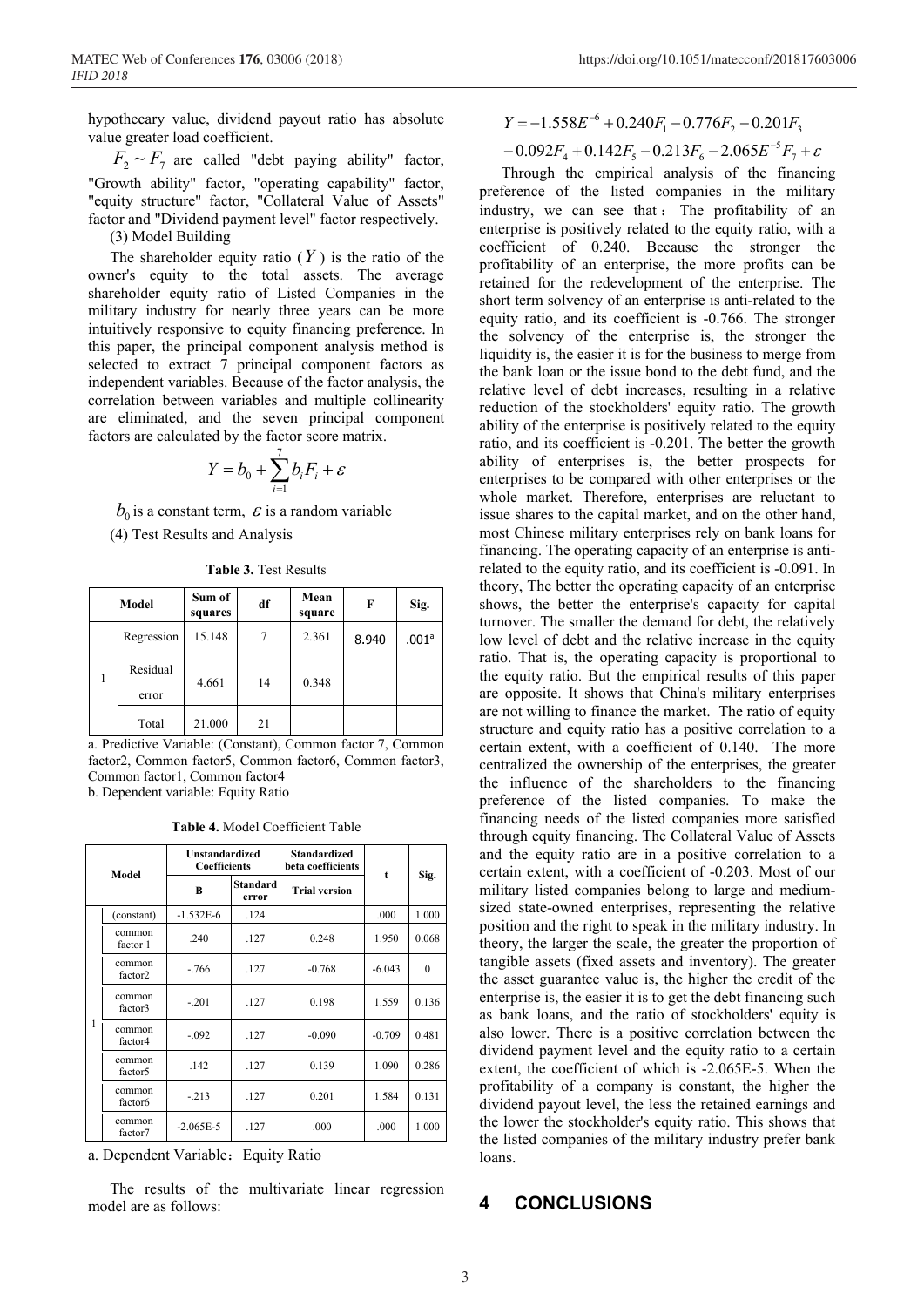hypothecary value, dividend payout ratio has absolute value greater load coefficient.

 $F_2 \sim F_7$  are called "debt paying ability" factor, "Growth ability" factor, "operating capability" factor, "equity structure" factor, "Collateral Value of Assets" factor and "Dividend payment level" factor respectively.

(3) Model Building

The shareholder equity ratio  $(Y)$  is the ratio of the owner's equity to the total assets. The average shareholder equity ratio of Listed Companies in the military industry for nearly three years can be more intuitively responsive to equity financing preference. In this paper, the principal component analysis method is selected to extract 7 principal component factors as independent variables. Because of the factor analysis, the correlation between variables and multiple collinearity are eliminated, and the seven principal component factors are calculated by the factor score matrix.

$$
Y = b_0 + \sum_{i=1}^{7} b_i F_i + \varepsilon
$$

 $b_0$  is a constant term,  $\epsilon$  is a random variable

(4) Test Results and Analysis

**Table 3.** Test Results

|  | Model             | Sum of<br>squares | df | Mean<br>square | F     | Sig.  |
|--|-------------------|-------------------|----|----------------|-------|-------|
|  | Regression        | 15.148            | 7  | 2.361          | 8.940 | .001a |
|  | Residual<br>error | 4.661             | 14 | 0.348          |       |       |
|  | Total             | 21.000            | 21 |                |       |       |

a. Predictive Variable: (Constant), Common factor 7, Common factor2, Common factor5, Common factor6, Common factor3, Common factor1, Common factor4

b. Dependent variable: Equity Ratio

**Table 4.** Model Coefficient Table

| Model |                               | <b>Unstandardized</b><br><b>Coefficients</b> |                   | <b>Standardized</b><br>beta coefficients |             |          |
|-------|-------------------------------|----------------------------------------------|-------------------|------------------------------------------|-------------|----------|
|       |                               | B                                            | Standard<br>error | <b>Trial version</b>                     | $\mathbf t$ | Sig.     |
|       | (constant)                    | $-1.532E-6$                                  | .124              |                                          | .000        | 1.000    |
| 1     | common<br>factor 1            | .240                                         | .127              | 0.248                                    | 1.950       | 0.068    |
|       | common<br>factor <sub>2</sub> | $-766$                                       | .127              | $-0.768$                                 | $-6.043$    | $\Omega$ |
|       | common<br>factor3             | $-.201$                                      | .127              | 0.198                                    | 1.559       | 0.136    |
|       | common<br>factor4             | $-.092$                                      | .127              | $-0.090$                                 | $-0.709$    | 0.481    |
|       | common<br>factor <sub>5</sub> | .142                                         | .127              | 0.139                                    | 1.090       | 0.286    |
|       | common<br>factor <sub>6</sub> | $-.213$                                      | .127              | 0.201                                    | 1.584       | 0.131    |
|       | common<br>factor7             | $-2.065E-5$                                  | .127              | .000                                     | .000        | 1.000    |

a. Dependent Variable: Equity Ratio

The results of the multivariate linear regression model are as follows:

$$
Y = -1.558E^{-6} + 0.240F_1 - 0.776F_2 - 0.201F_3
$$

$$
-0.092F_4 + 0.142F_5 - 0.213F_6 - 2.065E^{-5}F_7 + \varepsilon
$$

Through the empirical analysis of the financing preference of the listed companies in the military industry, we can see that : The profitability of an enterprise is positively related to the equity ratio, with a coefficient of 0.240. Because the stronger the profitability of an enterprise, the more profits can be retained for the redevelopment of the enterprise. The short term solvency of an enterprise is anti-related to the equity ratio, and its coefficient is -0.766. The stronger the solvency of the enterprise is, the stronger the liquidity is, the easier it is for the business to merge from the bank loan or the issue bond to the debt fund, and the relative level of debt increases, resulting in a relative reduction of the stockholders' equity ratio. The growth ability of the enterprise is positively related to the equity ratio, and its coefficient is -0.201. The better the growth ability of enterprises is, the better prospects for enterprises to be compared with other enterprises or the whole market. Therefore, enterprises are reluctant to issue shares to the capital market, and on the other hand, most Chinese military enterprises rely on bank loans for financing. The operating capacity of an enterprise is antirelated to the equity ratio, and its coefficient is -0.091. In theory, The better the operating capacity of an enterprise shows, the better the enterprise's capacity for capital turnover. The smaller the demand for debt, the relatively low level of debt and the relative increase in the equity ratio. That is, the operating capacity is proportional to the equity ratio. But the empirical results of this paper are opposite. It shows that China's military enterprises are not willing to finance the market. The ratio of equity structure and equity ratio has a positive correlation to a certain extent, with a coefficient of 0.140. The more centralized the ownership of the enterprises, the greater the influence of the shareholders to the financing preference of the listed companies. To make the financing needs of the listed companies more satisfied through equity financing. The Collateral Value of Assets and the equity ratio are in a positive correlation to a certain extent, with a coefficient of -0.203. Most of our military listed companies belong to large and mediumsized state-owned enterprises, representing the relative position and the right to speak in the military industry. In theory, the larger the scale, the greater the proportion of tangible assets (fixed assets and inventory). The greater the asset guarantee value is, the higher the credit of the enterprise is, the easier it is to get the debt financing such as bank loans, and the ratio of stockholders' equity is also lower. There is a positive correlation between the dividend payment level and the equity ratio to a certain extent, the coefficient of which is -2.065E-5. When the profitability of a company is constant, the higher the dividend payout level, the less the retained earnings and the lower the stockholder's equity ratio. This shows that the listed companies of the military industry prefer bank loans.

### **CONCLUSIONS**